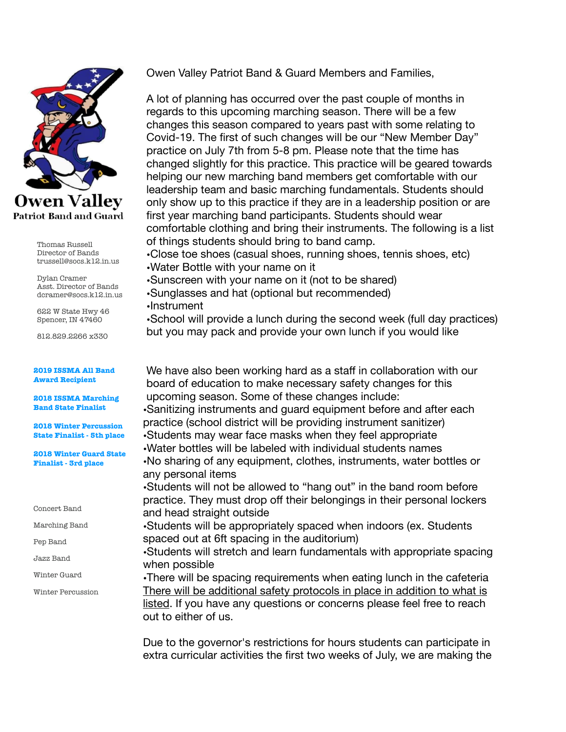

Thomas Russell Director of Bands trussell@socs.k12.in.us

Dylan Cramer Asst. Director of Bands dcramer@socs.k12.in.us

622 W State Hwy 46 Spencer, IN 47460

812.829.2266 x330

## **2019 ISSMA All Band Award Recipient**

**2018 ISSMA Marching Band State Finalist** 

**2018 Winter Percussion State Finalist - 5th place** 

**2018 Winter Guard State Finalist - 3rd place** 

Concert Band

Marching Band

Pep Band

Jazz Band

Winter Guard

Winter Percussion

Owen Valley Patriot Band & Guard Members and Families,

A lot of planning has occurred over the past couple of months in regards to this upcoming marching season. There will be a few changes this season compared to years past with some relating to Covid-19. The first of such changes will be our "New Member Day" practice on July 7th from 5-8 pm. Please note that the time has changed slightly for this practice. This practice will be geared towards helping our new marching band members get comfortable with our leadership team and basic marching fundamentals. Students should only show up to this practice if they are in a leadership position or are first year marching band participants. Students should wear comfortable clothing and bring their instruments. The following is a list of things students should bring to band camp.

•Close toe shoes (casual shoes, running shoes, tennis shoes, etc) •Water Bottle with your name on it

•Sunscreen with your name on it (not to be shared)

•Sunglasses and hat (optional but recommended)

•Instrument

•School will provide a lunch during the second week (full day practices) but you may pack and provide your own lunch if you would like

We have also been working hard as a staff in collaboration with our board of education to make necessary safety changes for this upcoming season. Some of these changes include:

•Sanitizing instruments and guard equipment before and after each practice (school district will be providing instrument sanitizer)

•Students may wear face masks when they feel appropriate

•Water bottles will be labeled with individual students names

•No sharing of any equipment, clothes, instruments, water bottles or any personal items

•Students will not be allowed to "hang out" in the band room before practice. They must drop off their belongings in their personal lockers and head straight outside

•Students will be appropriately spaced when indoors (ex. Students spaced out at 6ft spacing in the auditorium)

•Students will stretch and learn fundamentals with appropriate spacing when possible

•There will be spacing requirements when eating lunch in the cafeteria There will be additional safety protocols in place in addition to what is listed. If you have any questions or concerns please feel free to reach out to either of us.

Due to the governor's restrictions for hours students can participate in extra curricular activities the first two weeks of July, we are making the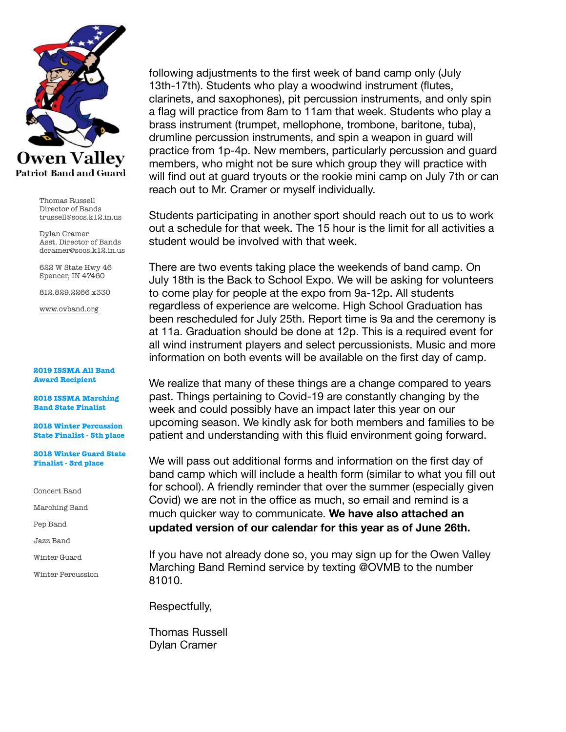

Thomas Russell Director of Bands trussell@socs.k12.in.us

Dylan Cramer Asst. Director of Bands dcramer@socs.k12.in.us

622 W State Hwy 46 Spencer, IN 47460

812.829.2266 x330

[www.ovband.org](http://www.ovband.org)

## **2019 ISSMA All Band Award Recipient**

**2018 ISSMA Marching Band State Finalist** 

**2018 Winter Percussion State Finalist - 5th place** 

**2018 Winter Guard State Finalist - 3rd place** 

Concert Band

Marching Band

Pep Band

Jazz Band

Winter Guard

Winter Percussion

following adjustments to the first week of band camp only (July 13th-17th). Students who play a woodwind instrument (flutes, clarinets, and saxophones), pit percussion instruments, and only spin a flag will practice from 8am to 11am that week. Students who play a brass instrument (trumpet, mellophone, trombone, baritone, tuba), drumline percussion instruments, and spin a weapon in guard will practice from 1p-4p. New members, particularly percussion and guard members, who might not be sure which group they will practice with will find out at guard tryouts or the rookie mini camp on July 7th or can reach out to Mr. Cramer or myself individually.

Students participating in another sport should reach out to us to work out a schedule for that week. The 15 hour is the limit for all activities a student would be involved with that week.

There are two events taking place the weekends of band camp. On July 18th is the Back to School Expo. We will be asking for volunteers to come play for people at the expo from 9a-12p. All students regardless of experience are welcome. High School Graduation has been rescheduled for July 25th. Report time is 9a and the ceremony is at 11a. Graduation should be done at 12p. This is a required event for all wind instrument players and select percussionists. Music and more information on both events will be available on the first day of camp.

We realize that many of these things are a change compared to years past. Things pertaining to Covid-19 are constantly changing by the week and could possibly have an impact later this year on our upcoming season. We kindly ask for both members and families to be patient and understanding with this fluid environment going forward.

We will pass out additional forms and information on the first day of band camp which will include a health form (similar to what you fill out for school). A friendly reminder that over the summer (especially given Covid) we are not in the office as much, so email and remind is a much quicker way to communicate. **We have also attached an updated version of our calendar for this year as of June 26th.** 

If you have not already done so, you may sign up for the Owen Valley Marching Band Remind service by texting @OVMB to the number 81010.

Respectfully,

Thomas Russell Dylan Cramer